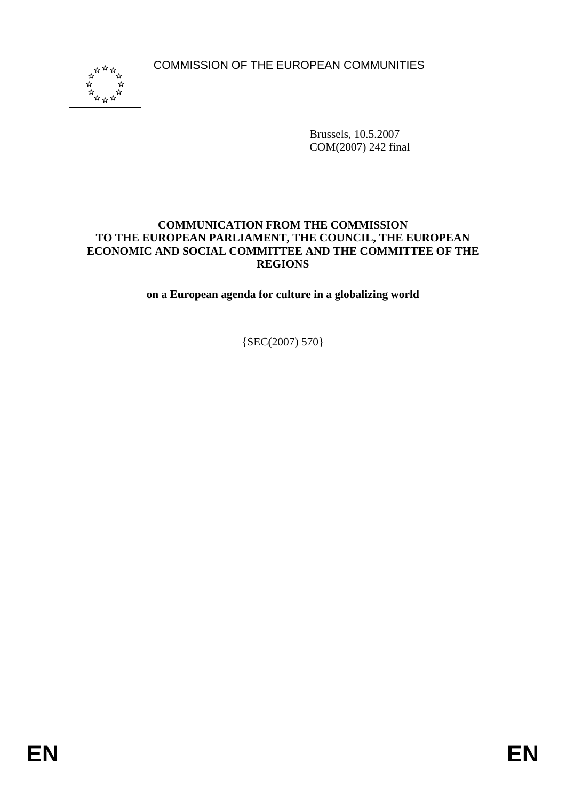COMMISSION OF THE EUROPEAN COMMUNITIES



Brussels, 10.5.2007 COM(2007) 242 final

#### **COMMUNICATION FROM THE COMMISSION TO THE EUROPEAN PARLIAMENT, THE COUNCIL, THE EUROPEAN ECONOMIC AND SOCIAL COMMITTEE AND THE COMMITTEE OF THE REGIONS**

**on a European agenda for culture in a globalizing world** 

 ${SEC(2007) 570}$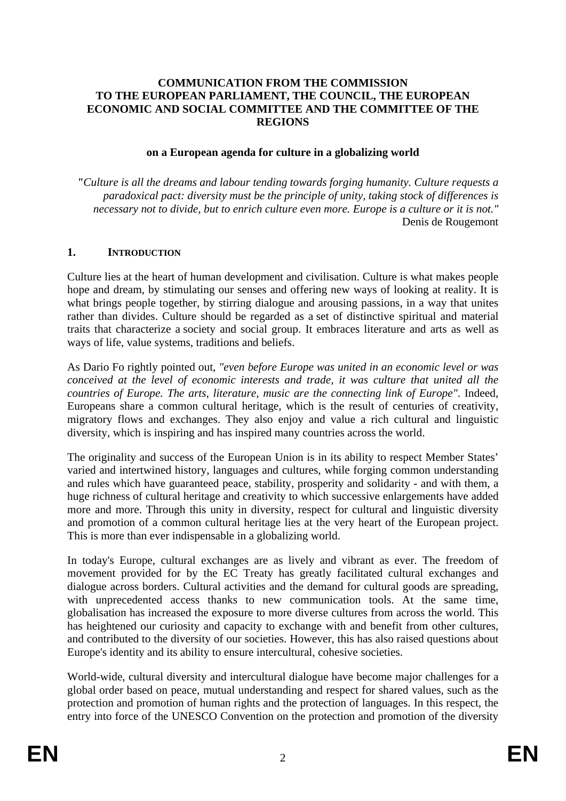#### **COMMUNICATION FROM THE COMMISSION TO THE EUROPEAN PARLIAMENT, THE COUNCIL, THE EUROPEAN ECONOMIC AND SOCIAL COMMITTEE AND THE COMMITTEE OF THE REGIONS**

#### **on a European agenda for culture in a globalizing world**

*"Culture is all the dreams and labour tending towards forging humanity. Culture requests a paradoxical pact: diversity must be the principle of unity, taking stock of differences is necessary not to divide, but to enrich culture even more. Europe is a culture or it is not."* Denis de Rougemont

#### **1. INTRODUCTION**

Culture lies at the heart of human development and civilisation. Culture is what makes people hope and dream, by stimulating our senses and offering new ways of looking at reality. It is what brings people together, by stirring dialogue and arousing passions, in a way that unites rather than divides. Culture should be regarded as a set of distinctive spiritual and material traits that characterize a society and social group. It embraces literature and arts as well as ways of life, value systems, traditions and beliefs.

As Dario Fo rightly pointed out, *"even before Europe was united in an economic level or was conceived at the level of economic interests and trade, it was culture that united all the countries of Europe. The arts, literature, music are the connecting link of Europe"*. Indeed, Europeans share a common cultural heritage, which is the result of centuries of creativity, migratory flows and exchanges. They also enjoy and value a rich cultural and linguistic diversity, which is inspiring and has inspired many countries across the world.

The originality and success of the European Union is in its ability to respect Member States' varied and intertwined history, languages and cultures, while forging common understanding and rules which have guaranteed peace, stability, prosperity and solidarity - and with them, a huge richness of cultural heritage and creativity to which successive enlargements have added more and more. Through this unity in diversity, respect for cultural and linguistic diversity and promotion of a common cultural heritage lies at the very heart of the European project. This is more than ever indispensable in a globalizing world.

In today's Europe, cultural exchanges are as lively and vibrant as ever. The freedom of movement provided for by the EC Treaty has greatly facilitated cultural exchanges and dialogue across borders. Cultural activities and the demand for cultural goods are spreading, with unprecedented access thanks to new communication tools. At the same time, globalisation has increased the exposure to more diverse cultures from across the world. This has heightened our curiosity and capacity to exchange with and benefit from other cultures, and contributed to the diversity of our societies. However, this has also raised questions about Europe's identity and its ability to ensure intercultural, cohesive societies.

World-wide, cultural diversity and intercultural dialogue have become major challenges for a global order based on peace, mutual understanding and respect for shared values, such as the protection and promotion of human rights and the protection of languages. In this respect, the entry into force of the UNESCO Convention on the protection and promotion of the diversity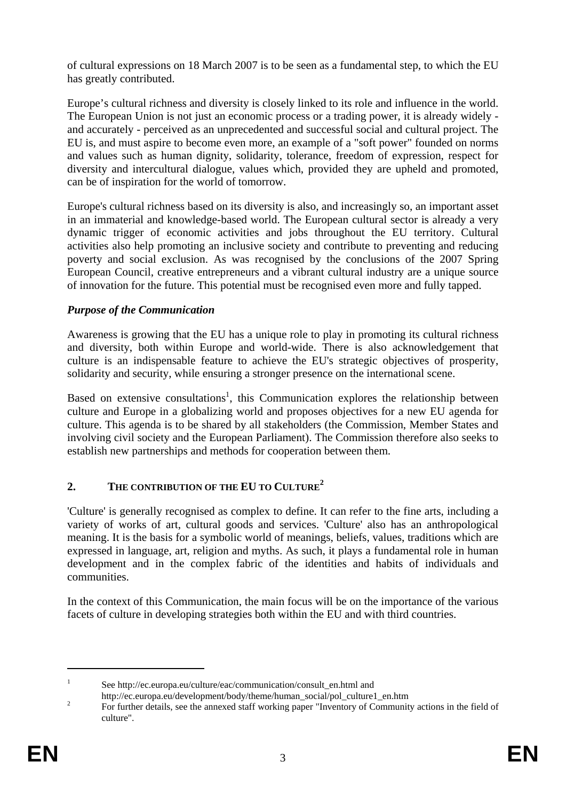of cultural expressions on 18 March 2007 is to be seen as a fundamental step, to which the EU has greatly contributed.

Europe's cultural richness and diversity is closely linked to its role and influence in the world. The European Union is not just an economic process or a trading power, it is already widely and accurately - perceived as an unprecedented and successful social and cultural project. The EU is, and must aspire to become even more, an example of a "soft power" founded on norms and values such as human dignity, solidarity, tolerance, freedom of expression, respect for diversity and intercultural dialogue, values which, provided they are upheld and promoted, can be of inspiration for the world of tomorrow.

Europe's cultural richness based on its diversity is also, and increasingly so, an important asset in an immaterial and knowledge-based world. The European cultural sector is already a very dynamic trigger of economic activities and jobs throughout the EU territory. Cultural activities also help promoting an inclusive society and contribute to preventing and reducing poverty and social exclusion. As was recognised by the conclusions of the 2007 Spring European Council, creative entrepreneurs and a vibrant cultural industry are a unique source of innovation for the future. This potential must be recognised even more and fully tapped.

# *Purpose of the Communication*

Awareness is growing that the EU has a unique role to play in promoting its cultural richness and diversity, both within Europe and world-wide. There is also acknowledgement that culture is an indispensable feature to achieve the EU's strategic objectives of prosperity, solidarity and security, while ensuring a stronger presence on the international scene.

Based on extensive consultations<sup>1</sup>, this Communication explores the relationship between culture and Europe in a globalizing world and proposes objectives for a new EU agenda for culture. This agenda is to be shared by all stakeholders (the Commission, Member States and involving civil society and the European Parliament). The Commission therefore also seeks to establish new partnerships and methods for cooperation between them.

# **2. THE CONTRIBUTION OF THE EU TO CULTURE<sup>2</sup>**

'Culture' is generally recognised as complex to define. It can refer to the fine arts, including a variety of works of art, cultural goods and services. 'Culture' also has an anthropological meaning. It is the basis for a symbolic world of meanings, beliefs, values, traditions which are expressed in language, art, religion and myths. As such, it plays a fundamental role in human development and in the complex fabric of the identities and habits of individuals and communities.

In the context of this Communication, the main focus will be on the importance of the various facets of culture in developing strategies both within the EU and with third countries.

1 See http://ec.europa.eu/culture/eac/communication/consult\_en.html and

http://ec.europa.eu/development/body/theme/human\_social/pol\_culture1\_en.htm 2

For further details, see the annexed staff working paper "Inventory of Community actions in the field of culture".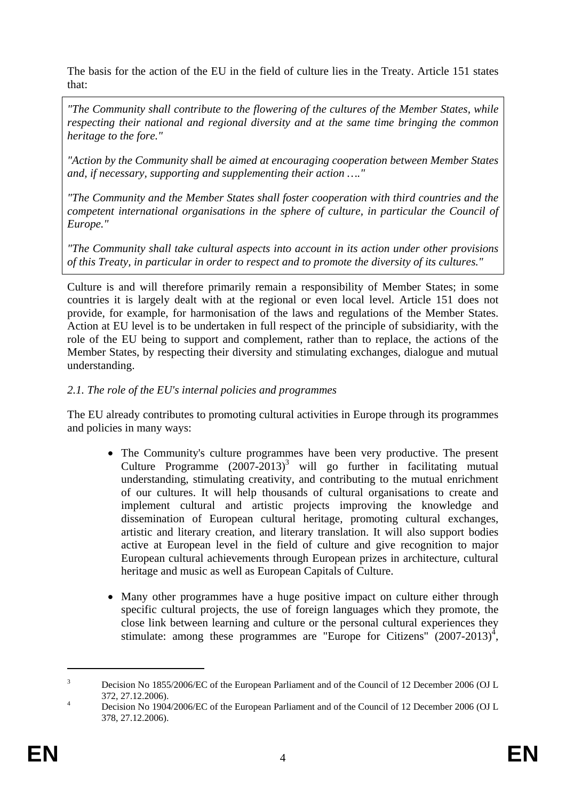The basis for the action of the EU in the field of culture lies in the Treaty. Article 151 states that:

*"The Community shall contribute to the flowering of the cultures of the Member States, while respecting their national and regional diversity and at the same time bringing the common heritage to the fore."* 

*"Action by the Community shall be aimed at encouraging cooperation between Member States and, if necessary, supporting and supplementing their action …."* 

*"The Community and the Member States shall foster cooperation with third countries and the competent international organisations in the sphere of culture, in particular the Council of Europe."* 

*"The Community shall take cultural aspects into account in its action under other provisions of this Treaty, in particular in order to respect and to promote the diversity of its cultures."* 

Culture is and will therefore primarily remain a responsibility of Member States; in some countries it is largely dealt with at the regional or even local level. Article 151 does not provide, for example, for harmonisation of the laws and regulations of the Member States. Action at EU level is to be undertaken in full respect of the principle of subsidiarity, with the role of the EU being to support and complement, rather than to replace, the actions of the Member States, by respecting their diversity and stimulating exchanges, dialogue and mutual understanding.

### *2.1. The role of the EU's internal policies and programmes*

The EU already contributes to promoting cultural activities in Europe through its programmes and policies in many ways:

- The Community's culture programmes have been very productive. The present Culture Programme  $(2007-2013)^3$  will go further in facilitating mutual understanding, stimulating creativity, and contributing to the mutual enrichment of our cultures. It will help thousands of cultural organisations to create and implement cultural and artistic projects improving the knowledge and dissemination of European cultural heritage, promoting cultural exchanges, artistic and literary creation, and literary translation. It will also support bodies active at European level in the field of culture and give recognition to major European cultural achievements through European prizes in architecture, cultural heritage and music as well as European Capitals of Culture.
- Many other programmes have a huge positive impact on culture either through specific cultural projects, the use of foreign languages which they promote, the close link between learning and culture or the personal cultural experiences they stimulate: among these programmes are "Europe for Citizens"  $(2007-2013)^4$ ,

<sup>3</sup> Decision No 1855/2006/EC of the European Parliament and of the Council of 12 December 2006 (OJ L  $372, 27.12.2006$ .

Decision No 1904/2006/EC of the European Parliament and of the Council of 12 December 2006 (OJ L 378, 27.12.2006).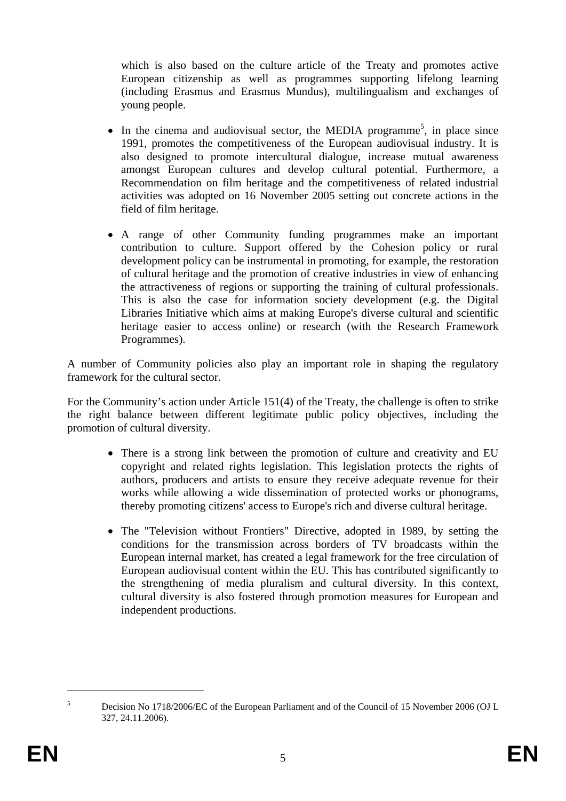which is also based on the culture article of the Treaty and promotes active European citizenship as well as programmes supporting lifelong learning (including Erasmus and Erasmus Mundus), multilingualism and exchanges of young people.

- In the cinema and audiovisual sector, the MEDIA programme<sup>5</sup>, in place since 1991, promotes the competitiveness of the European audiovisual industry. It is also designed to promote intercultural dialogue, increase mutual awareness amongst European cultures and develop cultural potential. Furthermore, a Recommendation on film heritage and the competitiveness of related industrial activities was adopted on 16 November 2005 setting out concrete actions in the field of film heritage.
- A range of other Community funding programmes make an important contribution to culture. Support offered by the Cohesion policy or rural development policy can be instrumental in promoting, for example, the restoration of cultural heritage and the promotion of creative industries in view of enhancing the attractiveness of regions or supporting the training of cultural professionals. This is also the case for information society development (e.g. the Digital Libraries Initiative which aims at making Europe's diverse cultural and scientific heritage easier to access online) or research (with the Research Framework Programmes).

A number of Community policies also play an important role in shaping the regulatory framework for the cultural sector.

For the Community's action under Article 151(4) of the Treaty, the challenge is often to strike the right balance between different legitimate public policy objectives, including the promotion of cultural diversity.

- There is a strong link between the promotion of culture and creativity and EU copyright and related rights legislation. This legislation protects the rights of authors, producers and artists to ensure they receive adequate revenue for their works while allowing a wide dissemination of protected works or phonograms, thereby promoting citizens' access to Europe's rich and diverse cultural heritage.
- The "Television without Frontiers" Directive, adopted in 1989, by setting the conditions for the transmission across borders of TV broadcasts within the European internal market, has created a legal framework for the free circulation of European audiovisual content within the EU. This has contributed significantly to the strengthening of media pluralism and cultural diversity. In this context, cultural diversity is also fostered through promotion measures for European and independent productions.

<sup>5</sup> Decision No 1718/2006/EC of the European Parliament and of the Council of 15 November 2006 (OJ L 327, 24.11.2006).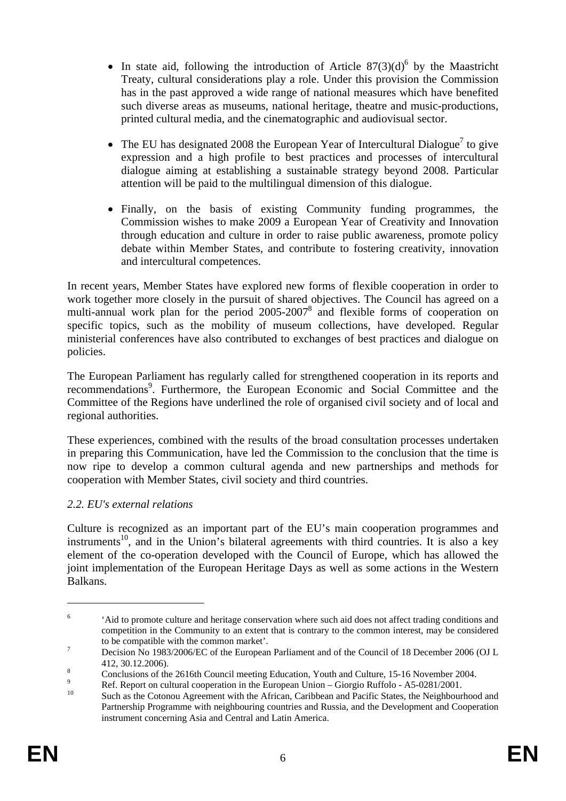- In state aid, following the introduction of Article  $87(3)(d)^6$  by the Maastricht Treaty, cultural considerations play a role. Under this provision the Commission has in the past approved a wide range of national measures which have benefited such diverse areas as museums, national heritage, theatre and music-productions, printed cultural media, and the cinematographic and audiovisual sector.
- The EU has designated 2008 the European Year of Intercultural Dialogue<sup>7</sup> to give expression and a high profile to best practices and processes of intercultural dialogue aiming at establishing a sustainable strategy beyond 2008. Particular attention will be paid to the multilingual dimension of this dialogue.
- Finally, on the basis of existing Community funding programmes, the Commission wishes to make 2009 a European Year of Creativity and Innovation through education and culture in order to raise public awareness, promote policy debate within Member States, and contribute to fostering creativity, innovation and intercultural competences.

In recent years, Member States have explored new forms of flexible cooperation in order to work together more closely in the pursuit of shared objectives. The Council has agreed on a multi-annual work plan for the period 2005-2007<sup>8</sup> and flexible forms of cooperation on specific topics, such as the mobility of museum collections, have developed. Regular ministerial conferences have also contributed to exchanges of best practices and dialogue on policies.

The European Parliament has regularly called for strengthened cooperation in its reports and recommendations<sup>9</sup>. Furthermore, the European Economic and Social Committee and the Committee of the Regions have underlined the role of organised civil society and of local and regional authorities.

These experiences, combined with the results of the broad consultation processes undertaken in preparing this Communication, have led the Commission to the conclusion that the time is now ripe to develop a common cultural agenda and new partnerships and methods for cooperation with Member States, civil society and third countries.

# *2.2. EU's external relations*

Culture is recognized as an important part of the EU's main cooperation programmes and instruments<sup>10</sup>, and in the Union's bilateral agreements with third countries. It is also a key element of the co-operation developed with the Council of Europe, which has allowed the joint implementation of the European Heritage Days as well as some actions in the Western Balkans.

<sup>6</sup> 'Aid to promote culture and heritage conservation where such aid does not affect trading conditions and competition in the Community to an extent that is contrary to the common interest, may be considered to be compatible with the common market'.

Decision No 1983/2006/EC of the European Parliament and of the Council of 18 December 2006 (OJ L  $412, 30.12.2006$ ).

Conclusions of the 2616th Council meeting Education, Youth and Culture, 15-16 November 2004.  $\overline{Q}$ 

Ref. Report on cultural cooperation in the European Union – Giorgio Ruffolo - A5-0281/2001.

Such as the Cotonou Agreement with the African, Caribbean and Pacific States, the Neighbourhood and Partnership Programme with neighbouring countries and Russia, and the Development and Cooperation instrument concerning Asia and Central and Latin America.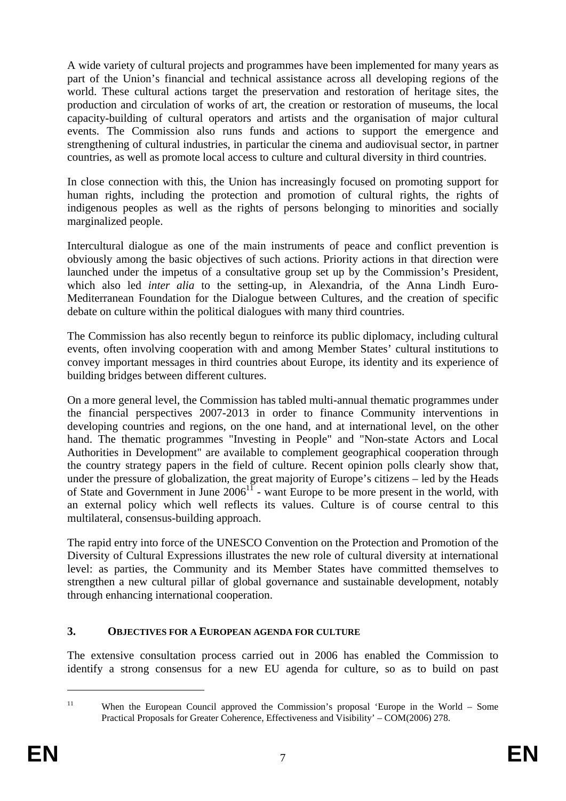A wide variety of cultural projects and programmes have been implemented for many years as part of the Union's financial and technical assistance across all developing regions of the world. These cultural actions target the preservation and restoration of heritage sites, the production and circulation of works of art, the creation or restoration of museums, the local capacity-building of cultural operators and artists and the organisation of major cultural events. The Commission also runs funds and actions to support the emergence and strengthening of cultural industries, in particular the cinema and audiovisual sector, in partner countries, as well as promote local access to culture and cultural diversity in third countries.

In close connection with this, the Union has increasingly focused on promoting support for human rights, including the protection and promotion of cultural rights, the rights of indigenous peoples as well as the rights of persons belonging to minorities and socially marginalized people.

Intercultural dialogue as one of the main instruments of peace and conflict prevention is obviously among the basic objectives of such actions. Priority actions in that direction were launched under the impetus of a consultative group set up by the Commission's President, which also led *inter alia* to the setting-up, in Alexandria, of the Anna Lindh Euro-Mediterranean Foundation for the Dialogue between Cultures, and the creation of specific debate on culture within the political dialogues with many third countries.

The Commission has also recently begun to reinforce its public diplomacy, including cultural events, often involving cooperation with and among Member States' cultural institutions to convey important messages in third countries about Europe, its identity and its experience of building bridges between different cultures.

On a more general level, the Commission has tabled multi-annual thematic programmes under the financial perspectives 2007-2013 in order to finance Community interventions in developing countries and regions, on the one hand, and at international level, on the other hand. The thematic programmes "Investing in People" and "Non-state Actors and Local Authorities in Development" are available to complement geographical cooperation through the country strategy papers in the field of culture. Recent opinion polls clearly show that, under the pressure of globalization, the great majority of Europe's citizens – led by the Heads of State and Government in June 2006<sup>11</sup> - want Europe to be more present in the world, with an external policy which well reflects its values. Culture is of course central to this multilateral, consensus-building approach.

The rapid entry into force of the UNESCO Convention on the Protection and Promotion of the Diversity of Cultural Expressions illustrates the new role of cultural diversity at international level: as parties, the Community and its Member States have committed themselves to strengthen a new cultural pillar of global governance and sustainable development, notably through enhancing international cooperation.

# **3. OBJECTIVES FOR A EUROPEAN AGENDA FOR CULTURE**

The extensive consultation process carried out in 2006 has enabled the Commission to identify a strong consensus for a new EU agenda for culture, so as to build on past

<sup>11</sup> When the European Council approved the Commission's proposal 'Europe in the World – Some Practical Proposals for Greater Coherence, Effectiveness and Visibility' – COM(2006) 278.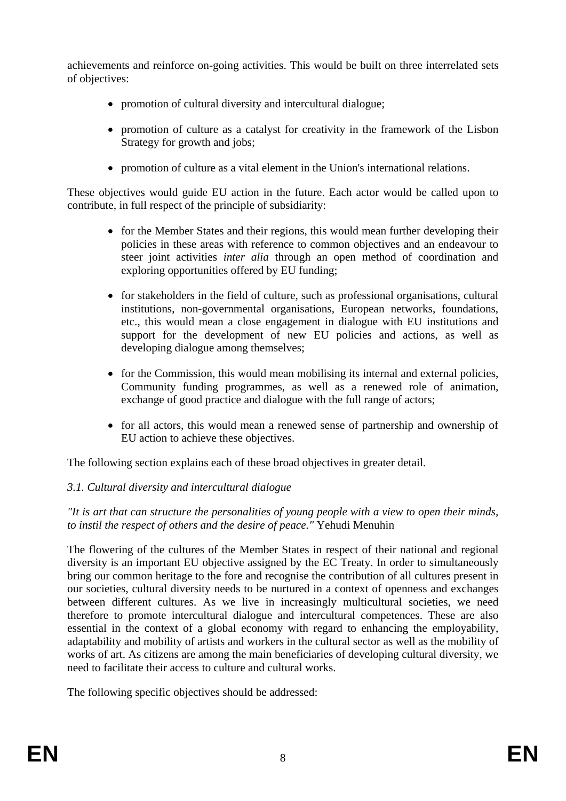achievements and reinforce on-going activities. This would be built on three interrelated sets of objectives:

- promotion of cultural diversity and intercultural dialogue;
- promotion of culture as a catalyst for creativity in the framework of the Lisbon Strategy for growth and jobs;
- promotion of culture as a vital element in the Union's international relations.

These objectives would guide EU action in the future. Each actor would be called upon to contribute, in full respect of the principle of subsidiarity:

- for the Member States and their regions, this would mean further developing their policies in these areas with reference to common objectives and an endeavour to steer joint activities *inter alia* through an open method of coordination and exploring opportunities offered by EU funding;
- for stakeholders in the field of culture, such as professional organisations, cultural institutions, non-governmental organisations, European networks, foundations, etc., this would mean a close engagement in dialogue with EU institutions and support for the development of new EU policies and actions, as well as developing dialogue among themselves;
- for the Commission, this would mean mobilising its internal and external policies, Community funding programmes, as well as a renewed role of animation, exchange of good practice and dialogue with the full range of actors;
- for all actors, this would mean a renewed sense of partnership and ownership of EU action to achieve these objectives.

The following section explains each of these broad objectives in greater detail.

# *3.1. Cultural diversity and intercultural dialogue*

*"It is art that can structure the personalities of young people with a view to open their minds, to instil the respect of others and the desire of peace."* Yehudi Menuhin

The flowering of the cultures of the Member States in respect of their national and regional diversity is an important EU objective assigned by the EC Treaty. In order to simultaneously bring our common heritage to the fore and recognise the contribution of all cultures present in our societies, cultural diversity needs to be nurtured in a context of openness and exchanges between different cultures. As we live in increasingly multicultural societies, we need therefore to promote intercultural dialogue and intercultural competences. These are also essential in the context of a global economy with regard to enhancing the employability, adaptability and mobility of artists and workers in the cultural sector as well as the mobility of works of art. As citizens are among the main beneficiaries of developing cultural diversity, we need to facilitate their access to culture and cultural works.

The following specific objectives should be addressed: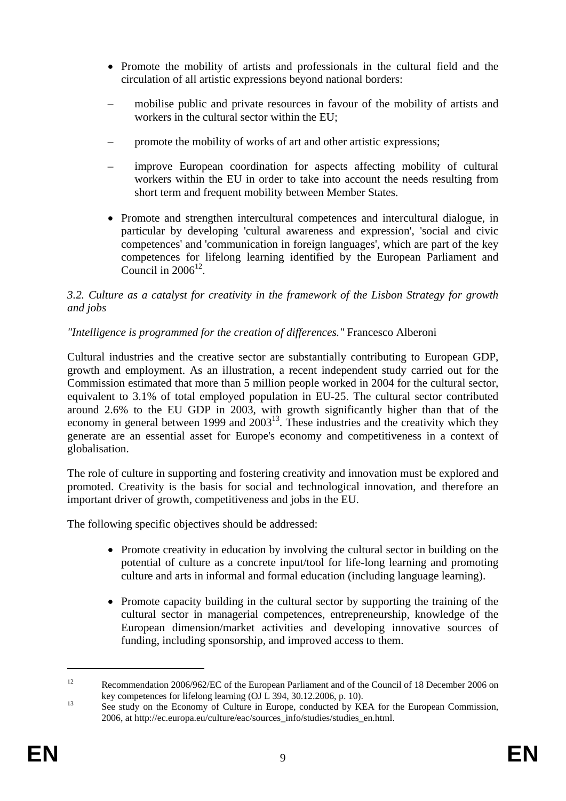- Promote the mobility of artists and professionals in the cultural field and the circulation of all artistic expressions beyond national borders:
- mobilise public and private resources in favour of the mobility of artists and workers in the cultural sector within the EU;
- promote the mobility of works of art and other artistic expressions;
- improve European coordination for aspects affecting mobility of cultural workers within the EU in order to take into account the needs resulting from short term and frequent mobility between Member States.
- Promote and strengthen intercultural competences and intercultural dialogue, in particular by developing 'cultural awareness and expression', 'social and civic competences' and 'communication in foreign languages', which are part of the key competences for lifelong learning identified by the European Parliament and Council in  $2006^{12}$

# *3.2. Culture as a catalyst for creativity in the framework of the Lisbon Strategy for growth and jobs*

# *"Intelligence is programmed for the creation of differences."* Francesco Alberoni

Cultural industries and the creative sector are substantially contributing to European GDP, growth and employment. As an illustration, a recent independent study carried out for the Commission estimated that more than 5 million people worked in 2004 for the cultural sector, equivalent to 3.1% of total employed population in EU-25. The cultural sector contributed around 2.6% to the EU GDP in 2003, with growth significantly higher than that of the economy in general between 1999 and  $2003^{13}$ . These industries and the creativity which they generate are an essential asset for Europe's economy and competitiveness in a context of globalisation.

The role of culture in supporting and fostering creativity and innovation must be explored and promoted. Creativity is the basis for social and technological innovation, and therefore an important driver of growth, competitiveness and jobs in the EU.

The following specific objectives should be addressed:

- Promote creativity in education by involving the cultural sector in building on the potential of culture as a concrete input/tool for life-long learning and promoting culture and arts in informal and formal education (including language learning).
- Promote capacity building in the cultural sector by supporting the training of the cultural sector in managerial competences, entrepreneurship, knowledge of the European dimension/market activities and developing innovative sources of funding, including sponsorship, and improved access to them.

<sup>&</sup>lt;sup>12</sup> Recommendation 2006/962/EC of the European Parliament and of the Council of 18 December 2006 on key competences for lifelong learning (OJ L 394, 30.12.2006, p. 10).

<sup>&</sup>lt;sup>13</sup> See study on the Economy of Culture in Europe, conducted by KEA for the European Commission, 2006, at http://ec.europa.eu/culture/eac/sources\_info/studies/studies\_en.html.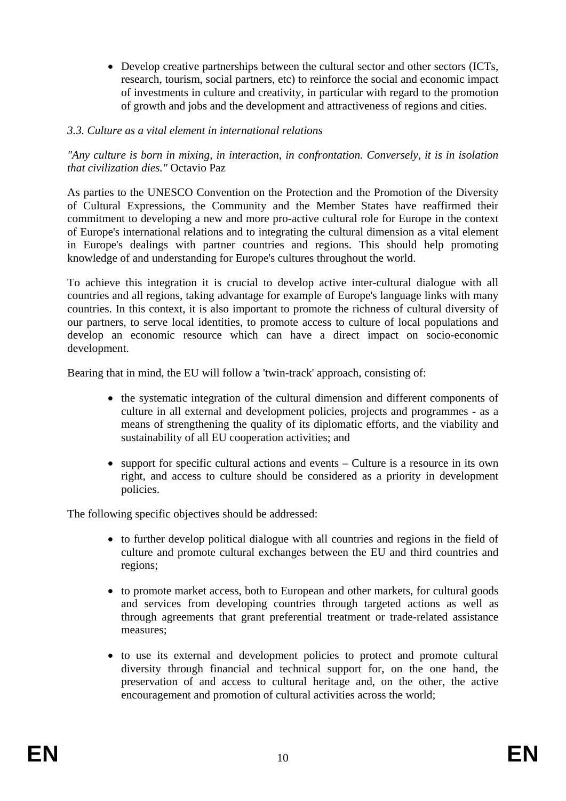• Develop creative partnerships between the cultural sector and other sectors (ICTs, research, tourism, social partners, etc) to reinforce the social and economic impact of investments in culture and creativity, in particular with regard to the promotion of growth and jobs and the development and attractiveness of regions and cities.

### *3.3. Culture as a vital element in international relations*

*"Any culture is born in mixing, in interaction, in confrontation. Conversely, it is in isolation that civilization dies."* Octavio Paz

As parties to the UNESCO Convention on the Protection and the Promotion of the Diversity of Cultural Expressions, the Community and the Member States have reaffirmed their commitment to developing a new and more pro-active cultural role for Europe in the context of Europe's international relations and to integrating the cultural dimension as a vital element in Europe's dealings with partner countries and regions. This should help promoting knowledge of and understanding for Europe's cultures throughout the world.

To achieve this integration it is crucial to develop active inter-cultural dialogue with all countries and all regions, taking advantage for example of Europe's language links with many countries. In this context, it is also important to promote the richness of cultural diversity of our partners, to serve local identities, to promote access to culture of local populations and develop an economic resource which can have a direct impact on socio-economic development.

Bearing that in mind, the EU will follow a 'twin-track' approach, consisting of:

- the systematic integration of the cultural dimension and different components of culture in all external and development policies, projects and programmes - as a means of strengthening the quality of its diplomatic efforts, and the viability and sustainability of all EU cooperation activities; and
- support for specific cultural actions and events Culture is a resource in its own right, and access to culture should be considered as a priority in development policies.

The following specific objectives should be addressed:

- to further develop political dialogue with all countries and regions in the field of culture and promote cultural exchanges between the EU and third countries and regions;
- to promote market access, both to European and other markets, for cultural goods and services from developing countries through targeted actions as well as through agreements that grant preferential treatment or trade-related assistance measures;
- to use its external and development policies to protect and promote cultural diversity through financial and technical support for, on the one hand, the preservation of and access to cultural heritage and, on the other, the active encouragement and promotion of cultural activities across the world;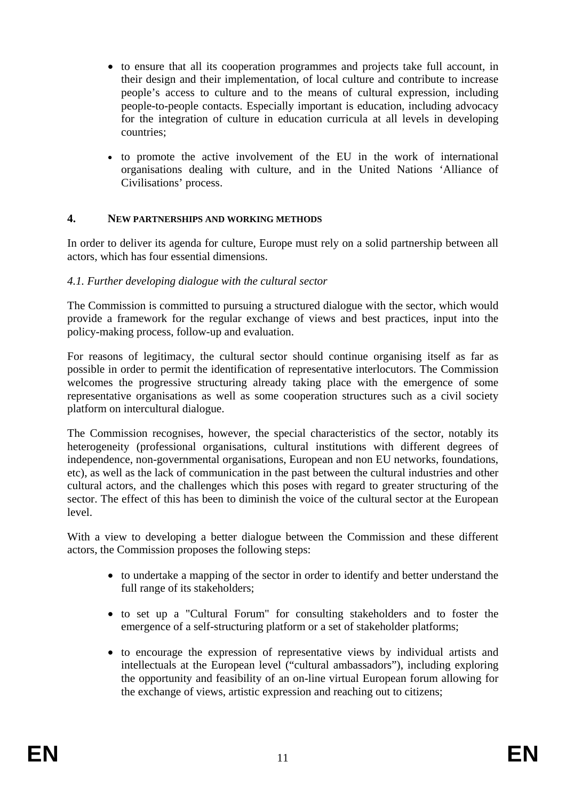- to ensure that all its cooperation programmes and projects take full account, in their design and their implementation, of local culture and contribute to increase people's access to culture and to the means of cultural expression, including people-to-people contacts. Especially important is education, including advocacy for the integration of culture in education curricula at all levels in developing countries;
- to promote the active involvement of the EU in the work of international organisations dealing with culture, and in the United Nations 'Alliance of Civilisations' process.

### **4. NEW PARTNERSHIPS AND WORKING METHODS**

In order to deliver its agenda for culture, Europe must rely on a solid partnership between all actors, which has four essential dimensions.

### *4.1. Further developing dialogue with the cultural sector*

The Commission is committed to pursuing a structured dialogue with the sector, which would provide a framework for the regular exchange of views and best practices, input into the policy-making process, follow-up and evaluation.

For reasons of legitimacy, the cultural sector should continue organising itself as far as possible in order to permit the identification of representative interlocutors. The Commission welcomes the progressive structuring already taking place with the emergence of some representative organisations as well as some cooperation structures such as a civil society platform on intercultural dialogue.

The Commission recognises, however, the special characteristics of the sector, notably its heterogeneity (professional organisations, cultural institutions with different degrees of independence, non-governmental organisations, European and non EU networks, foundations, etc), as well as the lack of communication in the past between the cultural industries and other cultural actors, and the challenges which this poses with regard to greater structuring of the sector. The effect of this has been to diminish the voice of the cultural sector at the European level.

With a view to developing a better dialogue between the Commission and these different actors, the Commission proposes the following steps:

- to undertake a mapping of the sector in order to identify and better understand the full range of its stakeholders;
- to set up a "Cultural Forum" for consulting stakeholders and to foster the emergence of a self-structuring platform or a set of stakeholder platforms;
- to encourage the expression of representative views by individual artists and intellectuals at the European level ("cultural ambassadors"), including exploring the opportunity and feasibility of an on-line virtual European forum allowing for the exchange of views, artistic expression and reaching out to citizens;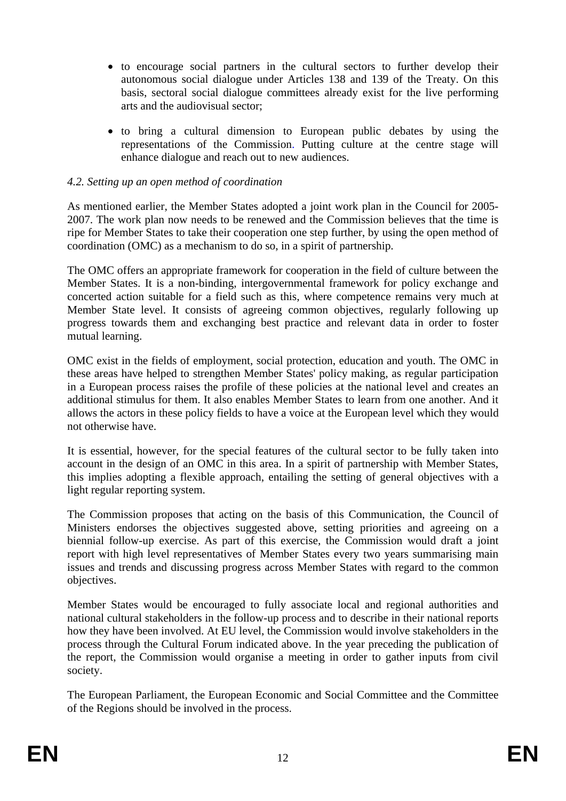- to encourage social partners in the cultural sectors to further develop their autonomous social dialogue under Articles 138 and 139 of the Treaty. On this basis, sectoral social dialogue committees already exist for the live performing arts and the audiovisual sector;
- to bring a cultural dimension to European public debates by using the representations of the Commission. Putting culture at the centre stage will enhance dialogue and reach out to new audiences.

# *4.2. Setting up an open method of coordination*

As mentioned earlier, the Member States adopted a joint work plan in the Council for 2005- 2007. The work plan now needs to be renewed and the Commission believes that the time is ripe for Member States to take their cooperation one step further, by using the open method of coordination (OMC) as a mechanism to do so, in a spirit of partnership.

The OMC offers an appropriate framework for cooperation in the field of culture between the Member States. It is a non-binding, intergovernmental framework for policy exchange and concerted action suitable for a field such as this, where competence remains very much at Member State level. It consists of agreeing common objectives, regularly following up progress towards them and exchanging best practice and relevant data in order to foster mutual learning.

OMC exist in the fields of employment, social protection, education and youth. The OMC in these areas have helped to strengthen Member States' policy making, as regular participation in a European process raises the profile of these policies at the national level and creates an additional stimulus for them. It also enables Member States to learn from one another. And it allows the actors in these policy fields to have a voice at the European level which they would not otherwise have.

It is essential, however, for the special features of the cultural sector to be fully taken into account in the design of an OMC in this area. In a spirit of partnership with Member States, this implies adopting a flexible approach, entailing the setting of general objectives with a light regular reporting system.

The Commission proposes that acting on the basis of this Communication, the Council of Ministers endorses the objectives suggested above, setting priorities and agreeing on a biennial follow-up exercise. As part of this exercise, the Commission would draft a joint report with high level representatives of Member States every two years summarising main issues and trends and discussing progress across Member States with regard to the common objectives.

Member States would be encouraged to fully associate local and regional authorities and national cultural stakeholders in the follow-up process and to describe in their national reports how they have been involved. At EU level, the Commission would involve stakeholders in the process through the Cultural Forum indicated above. In the year preceding the publication of the report, the Commission would organise a meeting in order to gather inputs from civil society.

The European Parliament, the European Economic and Social Committee and the Committee of the Regions should be involved in the process.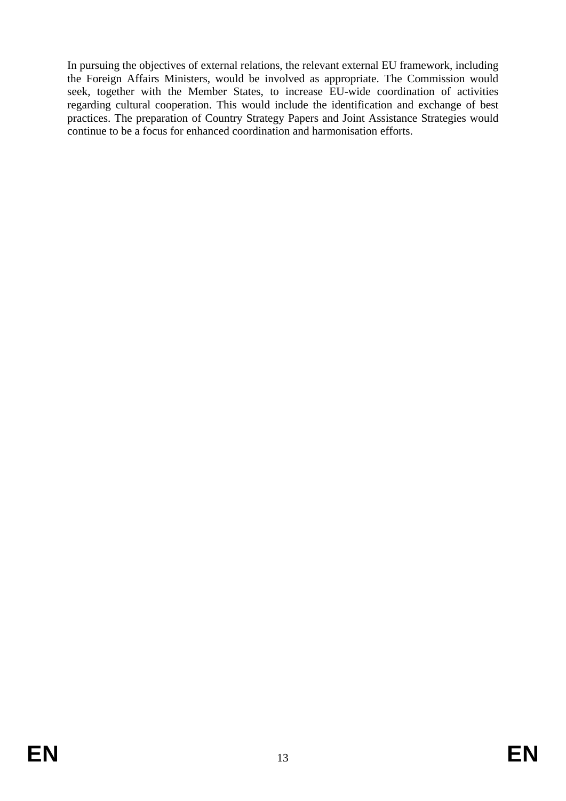In pursuing the objectives of external relations, the relevant external EU framework, including the Foreign Affairs Ministers, would be involved as appropriate. The Commission would seek, together with the Member States, to increase EU-wide coordination of activities regarding cultural cooperation. This would include the identification and exchange of best practices. The preparation of Country Strategy Papers and Joint Assistance Strategies would continue to be a focus for enhanced coordination and harmonisation efforts.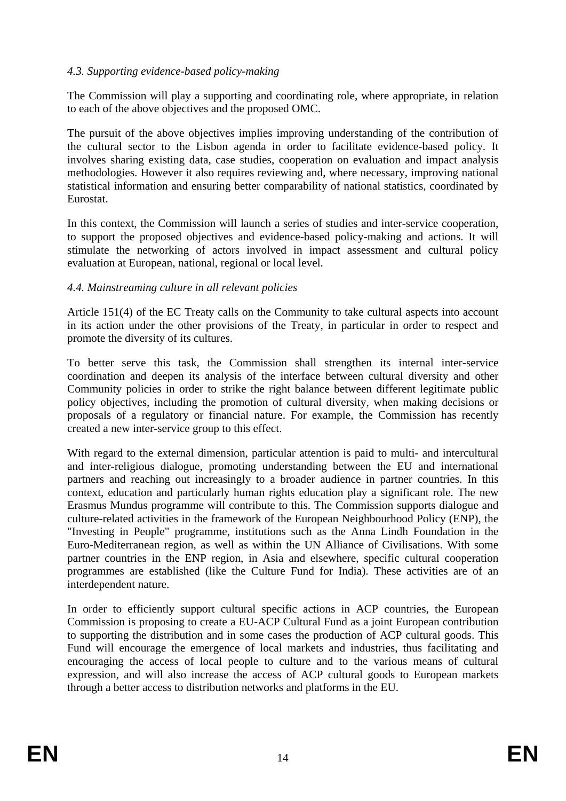### *4.3. Supporting evidence-based policy-making*

The Commission will play a supporting and coordinating role, where appropriate, in relation to each of the above objectives and the proposed OMC.

The pursuit of the above objectives implies improving understanding of the contribution of the cultural sector to the Lisbon agenda in order to facilitate evidence-based policy. It involves sharing existing data, case studies, cooperation on evaluation and impact analysis methodologies. However it also requires reviewing and, where necessary, improving national statistical information and ensuring better comparability of national statistics, coordinated by Eurostat.

In this context, the Commission will launch a series of studies and inter-service cooperation, to support the proposed objectives and evidence-based policy-making and actions. It will stimulate the networking of actors involved in impact assessment and cultural policy evaluation at European, national, regional or local level.

### *4.4. Mainstreaming culture in all relevant policies*

Article 151(4) of the EC Treaty calls on the Community to take cultural aspects into account in its action under the other provisions of the Treaty, in particular in order to respect and promote the diversity of its cultures.

To better serve this task, the Commission shall strengthen its internal inter-service coordination and deepen its analysis of the interface between cultural diversity and other Community policies in order to strike the right balance between different legitimate public policy objectives, including the promotion of cultural diversity, when making decisions or proposals of a regulatory or financial nature. For example, the Commission has recently created a new inter-service group to this effect.

With regard to the external dimension, particular attention is paid to multi- and intercultural and inter-religious dialogue, promoting understanding between the EU and international partners and reaching out increasingly to a broader audience in partner countries. In this context, education and particularly human rights education play a significant role. The new Erasmus Mundus programme will contribute to this. The Commission supports dialogue and culture-related activities in the framework of the European Neighbourhood Policy (ENP), the "Investing in People" programme, institutions such as the Anna Lindh Foundation in the Euro-Mediterranean region, as well as within the UN Alliance of Civilisations. With some partner countries in the ENP region, in Asia and elsewhere, specific cultural cooperation programmes are established (like the Culture Fund for India). These activities are of an interdependent nature.

In order to efficiently support cultural specific actions in ACP countries, the European Commission is proposing to create a EU-ACP Cultural Fund as a joint European contribution to supporting the distribution and in some cases the production of ACP cultural goods. This Fund will encourage the emergence of local markets and industries, thus facilitating and encouraging the access of local people to culture and to the various means of cultural expression, and will also increase the access of ACP cultural goods to European markets through a better access to distribution networks and platforms in the EU.